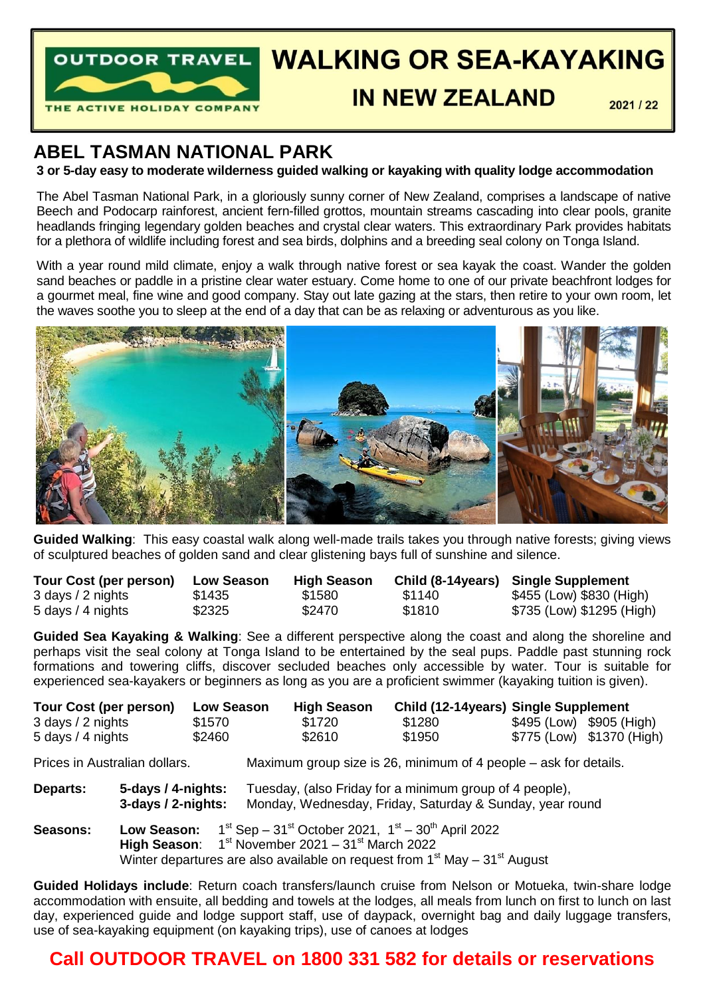

# OUTDOOR TRAVEL WALKING OR SEA-KAYAKING

# **IN NEW ZEAL AND**

 $2021/22$ 

# **ABEL TASMAN NATIONAL PARK**

## **3 or 5-day easy to moderate wilderness guided walking or kayaking with quality lodge accommodation**

The Abel Tasman National Park, in a gloriously sunny corner of New Zealand, comprises a landscape of native Beech and Podocarp rainforest, ancient fern-filled grottos, mountain streams cascading into clear pools, granite headlands fringing legendary golden beaches and crystal clear waters. This extraordinary Park provides habitats for a plethora of wildlife including forest and sea birds, dolphins and a breeding seal colony on Tonga Island.

With a year round mild climate, enjoy a walk through native forest or sea kavak the coast. Wander the golden sand beaches or paddle in a pristine clear water estuary. Come home to one of our private beachfront lodges for a gourmet meal, fine wine and good company. Stay out late gazing at the stars, then retire to your own room, let the waves soothe you to sleep at the end of a day that can be as relaxing or adventurous as you like.



**Guided Walking**: This easy coastal walk along well-made trails takes you through native forests; giving views of sculptured beaches of golden sand and clear glistening bays full of sunshine and silence.

| Tour Cost (per person) | <b>Low Season</b> | <b>High Season</b> |        | Child (8-14years) Single Supplement |
|------------------------|-------------------|--------------------|--------|-------------------------------------|
| 3 days / 2 nights      | \$1435            | \$1580             | \$1140 | \$455 (Low) \$830 (High)            |
| 5 days / 4 nights      | \$2325            | \$2470             | \$1810 | \$735 (Low) \$1295 (High)           |

**Guided Sea Kayaking & Walking**: See a different perspective along the coast and along the shoreline and perhaps visit the seal colony at Tonga Island to be entertained by the seal pups. Paddle past stunning rock formations and towering cliffs, discover secluded beaches only accessible by water. Tour is suitable for experienced sea-kayakers or beginners as long as you are a proficient swimmer (kayaking tuition is given).

| Tour Cost (per person) |                                                                                | <b>Low Season</b> | <b>High Season</b>                                                                                                  | Child (12-14years) Single Supplement |                                                                  |                           |  |  |
|------------------------|--------------------------------------------------------------------------------|-------------------|---------------------------------------------------------------------------------------------------------------------|--------------------------------------|------------------------------------------------------------------|---------------------------|--|--|
| 3 days / 2 nights      |                                                                                | \$1570            | \$1720                                                                                                              | \$1280                               |                                                                  | \$495 (Low) \$905 (High)  |  |  |
| 5 days / 4 nights      |                                                                                | \$2460            | \$2610                                                                                                              | \$1950                               |                                                                  | \$775 (Low) \$1370 (High) |  |  |
|                        | Prices in Australian dollars.                                                  |                   |                                                                                                                     |                                      | Maximum group size is 26, minimum of 4 people – ask for details. |                           |  |  |
| Departs:               | 5-days / 4-nights:<br>3-days / 2-nights:                                       |                   | Tuesday, (also Friday for a minimum group of 4 people),<br>Monday, Wednesday, Friday, Saturday & Sunday, year round |                                      |                                                                  |                           |  |  |
| <b>Seasons:</b>        | Low Season:                                                                    |                   | $1^{st}$ Sep – 31 <sup>st</sup> October 2021, $1^{st}$ – 30 <sup>th</sup> April 2022                                |                                      |                                                                  |                           |  |  |
|                        | High Season:                                                                   |                   | $1st$ November 2021 – 31 $st$ March 2022                                                                            |                                      |                                                                  |                           |  |  |
|                        | Winter departures are also available on request from $1st$ May – $31st$ August |                   |                                                                                                                     |                                      |                                                                  |                           |  |  |

**Guided Holidays include**: Return coach transfers/launch cruise from Nelson or Motueka, twin-share lodge accommodation with ensuite, all bedding and towels at the lodges, all meals from lunch on first to lunch on last day, experienced guide and lodge support staff, use of daypack, overnight bag and daily luggage transfers, use of sea-kayaking equipment (on kayaking trips), use of canoes at lodges

## **Call OUTDOOR TRAVEL on 1800 331 582 for details or reservations**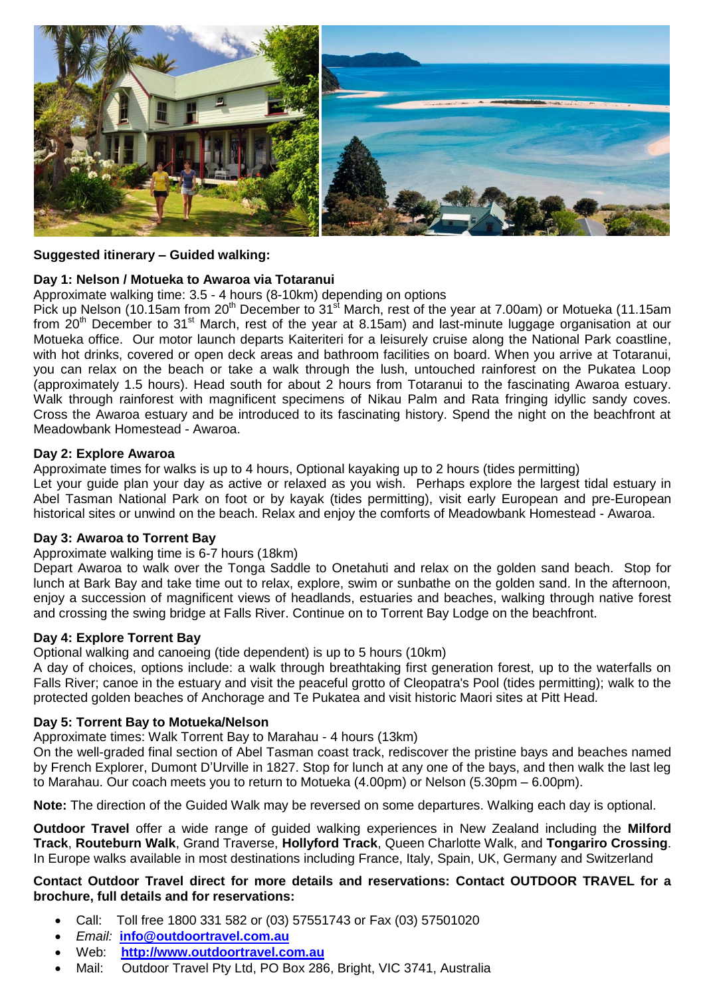

#### **Suggested itinerary – Guided walking:**

#### **Day 1: Nelson / Motueka to Awaroa via Totaranui**

Approximate walking time: 3.5 - 4 hours (8-10km) depending on options

Pick up Nelson (10.15am from 20<sup>th</sup> December to 31<sup>st</sup> March, rest of the year at 7.00am) or Motueka (11.15am from 20<sup>th</sup> December to 31<sup>st</sup> March, rest of the year at 8.15am) and last-minute luggage organisation at our Motueka office. Our motor launch departs Kaiteriteri for a leisurely cruise along the National Park coastline, with hot drinks, covered or open deck areas and bathroom facilities on board. When you arrive at Totaranui, you can relax on the beach or take a walk through the lush, untouched rainforest on the Pukatea Loop (approximately 1.5 hours). Head south for about 2 hours from Totaranui to the fascinating Awaroa estuary. Walk through rainforest with magnificent specimens of Nikau Palm and Rata fringing idyllic sandy coves. Cross the Awaroa estuary and be introduced to its fascinating history. Spend the night on the beachfront at Meadowbank Homestead - Awaroa.

#### **Day 2: Explore Awaroa**

Approximate times for walks is up to 4 hours, Optional kayaking up to 2 hours (tides permitting)

Let your guide plan your day as active or relaxed as you wish. Perhaps explore the largest tidal estuary in Abel Tasman National Park on foot or by kayak (tides permitting), visit early European and pre-European historical sites or unwind on the beach. Relax and enjoy the comforts of Meadowbank Homestead - Awaroa.

#### **Day 3: Awaroa to Torrent Bay**

#### Approximate walking time is 6-7 hours (18km)

Depart Awaroa to walk over the Tonga Saddle to Onetahuti and relax on the golden sand beach. Stop for lunch at Bark Bay and take time out to relax, explore, swim or sunbathe on the golden sand. In the afternoon, enjoy a succession of magnificent views of headlands, estuaries and beaches, walking through native forest and crossing the swing bridge at Falls River. Continue on to Torrent Bay Lodge on the beachfront.

#### **Day 4: Explore Torrent Bay**

Optional walking and canoeing (tide dependent) is up to 5 hours (10km)

A day of choices, options include: a walk through breathtaking first generation forest, up to the waterfalls on Falls River; canoe in the estuary and visit the peaceful grotto of Cleopatra's Pool (tides permitting); walk to the protected golden beaches of Anchorage and Te Pukatea and visit historic Maori sites at Pitt Head.

## **Day 5: Torrent Bay to Motueka/Nelson**

Approximate times: Walk Torrent Bay to Marahau - 4 hours (13km)

On the well-graded final section of Abel Tasman coast track, rediscover the pristine bays and beaches named by French Explorer, Dumont D'Urville in 1827. Stop for lunch at any one of the bays, and then walk the last leg to Marahau. Our coach meets you to return to Motueka (4.00pm) or Nelson (5.30pm – 6.00pm).

**Note:** The direction of the Guided Walk may be reversed on some departures. Walking each day is optional.

**Outdoor Travel** offer a wide range of guided walking experiences in New Zealand including the **Milford Track**, **Routeburn Walk**, Grand Traverse, **Hollyford Track**, Queen Charlotte Walk, and **Tongariro Crossing**. In Europe walks available in most destinations including France, Italy, Spain, UK, Germany and Switzerland

### **Contact Outdoor Travel direct for more details and reservations: Contact OUTDOOR TRAVEL for a brochure, full details and for reservations:**

- Call: Toll free 1800 331 582 or (03) 57551743 or Fax (03) 57501020
- *Email:* **[info@outdoortravel.com.au](mailto:info@outdoortravel.com.au)**
- Web: **[http://www.outdoortravel.com.au](http://www.outdoortravel.com.au/)**
- Mail: Outdoor Travel Pty Ltd, PO Box 286, Bright, VIC 3741, Australia